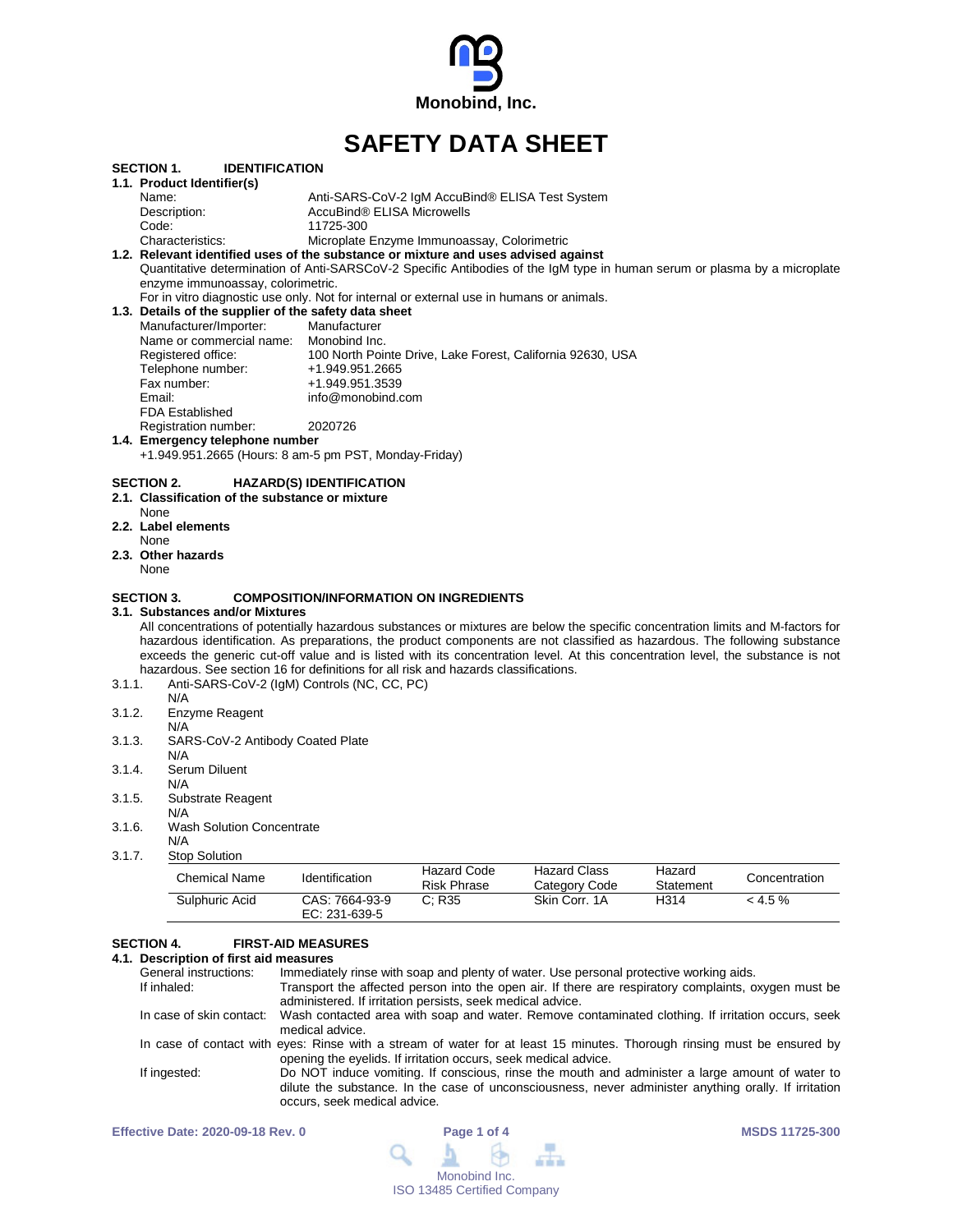

# **SAFETY DATA SHEET**

|        | <b>SECTION 1.</b>                               | <b>IDENTIFICATION</b>            |                                                                                                                                  |
|--------|-------------------------------------------------|----------------------------------|----------------------------------------------------------------------------------------------------------------------------------|
|        | 1.1. Product Identifier(s)                      |                                  |                                                                                                                                  |
|        | Name:                                           |                                  | Anti-SARS-CoV-2 IgM AccuBind® ELISA Test System                                                                                  |
|        | Description:                                    |                                  | AccuBind® ELISA Microwells                                                                                                       |
|        | Code:                                           |                                  | 11725-300                                                                                                                        |
|        | Characteristics:                                |                                  | Microplate Enzyme Immunoassay, Colorimetric                                                                                      |
|        |                                                 |                                  | 1.2. Relevant identified uses of the substance or mixture and uses advised against                                               |
|        |                                                 |                                  | Quantitative determination of Anti-SARSCoV-2 Specific Antibodies of the IgM type in human serum or plasma by a microplate        |
|        | enzyme immunoassay, colorimetric.               |                                  |                                                                                                                                  |
|        |                                                 |                                  | For in vitro diagnostic use only. Not for internal or external use in humans or animals.                                         |
|        |                                                 |                                  | 1.3. Details of the supplier of the safety data sheet                                                                            |
|        | Manufacturer/Importer:                          |                                  | Manufacturer                                                                                                                     |
|        | Name or commercial name: Monobind Inc.          |                                  |                                                                                                                                  |
|        | Registered office:                              |                                  | 100 North Pointe Drive, Lake Forest, California 92630, USA                                                                       |
|        | Telephone number:                               |                                  | +1.949.951.2665                                                                                                                  |
|        | Fax number:                                     |                                  | +1.949.951.3539                                                                                                                  |
|        | Email:                                          |                                  | info@monobind.com                                                                                                                |
|        | FDA Established                                 |                                  |                                                                                                                                  |
|        | Registration number:                            |                                  | 2020726                                                                                                                          |
|        | 1.4. Emergency telephone number                 |                                  |                                                                                                                                  |
|        |                                                 |                                  | +1.949.951.2665 (Hours: 8 am-5 pm PST, Monday-Friday)                                                                            |
|        |                                                 |                                  |                                                                                                                                  |
|        | <b>SECTION 2.</b>                               |                                  | <b>HAZARD(S) IDENTIFICATION</b>                                                                                                  |
|        | 2.1. Classification of the substance or mixture |                                  |                                                                                                                                  |
|        | None                                            |                                  |                                                                                                                                  |
|        | 2.2. Label elements                             |                                  |                                                                                                                                  |
|        | None                                            |                                  |                                                                                                                                  |
|        | 2.3. Other hazards                              |                                  |                                                                                                                                  |
|        | None                                            |                                  |                                                                                                                                  |
|        |                                                 |                                  |                                                                                                                                  |
|        | <b>SECTION 3.</b>                               |                                  | <b>COMPOSITION/INFORMATION ON INGREDIENTS</b>                                                                                    |
|        | 3.1. Substances and/or Mixtures                 |                                  |                                                                                                                                  |
|        |                                                 |                                  | All concentrations of potentially hazardous substances or mixtures are below the specific concentration limits and M-factors for |
|        |                                                 |                                  | hazardous identification. As preparations, the product components are not classified as hazardous. The following substance       |
|        |                                                 |                                  | exceeds the generic cut-off value and is listed with its concentration level. At this concentration level, the substance is not  |
|        |                                                 |                                  | hazardous. See section 16 for definitions for all risk and hazards classifications.                                              |
| 3.1.1. |                                                 |                                  | Anti-SARS-CoV-2 (IgM) Controls (NC, CC, PC)                                                                                      |
|        | N/A                                             |                                  |                                                                                                                                  |
| 3.1.2. | Enzyme Reagent                                  |                                  |                                                                                                                                  |
|        | N/A                                             |                                  |                                                                                                                                  |
| 3.1.3. |                                                 | SARS-CoV-2 Antibody Coated Plate |                                                                                                                                  |
|        | N/A                                             |                                  |                                                                                                                                  |
| 3.1.4. | Serum Diluent                                   |                                  |                                                                                                                                  |
|        | N/A                                             |                                  |                                                                                                                                  |
| 3.1.5. | Substrate Reagent                               |                                  |                                                                                                                                  |
|        |                                                 |                                  |                                                                                                                                  |
|        | N/A                                             |                                  |                                                                                                                                  |
| 3.1.6. |                                                 | <b>Wash Solution Concentrate</b> |                                                                                                                                  |
|        | N/A                                             |                                  |                                                                                                                                  |
| 3.1.7. | <b>Stop Solution</b>                            |                                  |                                                                                                                                  |

| Chemical Name  | Identification                    | <b>Hazard Code</b><br><b>Risk Phrase</b> | Hazard Class<br>Category Code | Hazard<br>Statement | Concentration |
|----------------|-----------------------------------|------------------------------------------|-------------------------------|---------------------|---------------|
| Sulphuric Acid | CAS: 7664-93-9<br>EC: $231-639-5$ | C: R35                                   | Skin Corr. 1A                 | H314                | $< 4.5\%$     |

# **SECTION 4. FIRST-AID MEASURES**

# **4.1. Description of first aid measures**

| General instructions:    | Immediately rinse with soap and plenty of water. Use personal protective working aids.                                                                                                                                                   |
|--------------------------|------------------------------------------------------------------------------------------------------------------------------------------------------------------------------------------------------------------------------------------|
| If inhaled:              | Transport the affected person into the open air. If there are respiratory complaints, oxygen must be<br>administered. If irritation persists, seek medical advice.                                                                       |
| In case of skin contact: | Wash contacted area with soap and water. Remove contaminated clothing. If irritation occurs, seek<br>medical advice.                                                                                                                     |
|                          | In case of contact with eyes: Rinse with a stream of water for at least 15 minutes. Thorough rinsing must be ensured by<br>opening the eyelids. If irritation occurs, seek medical advice.                                               |
| If ingested:             | Do NOT induce vomiting. If conscious, rinse the mouth and administer a large amount of water to<br>dilute the substance. In the case of unconsciousness, never administer anything orally. If irritation<br>occurs, seek medical advice. |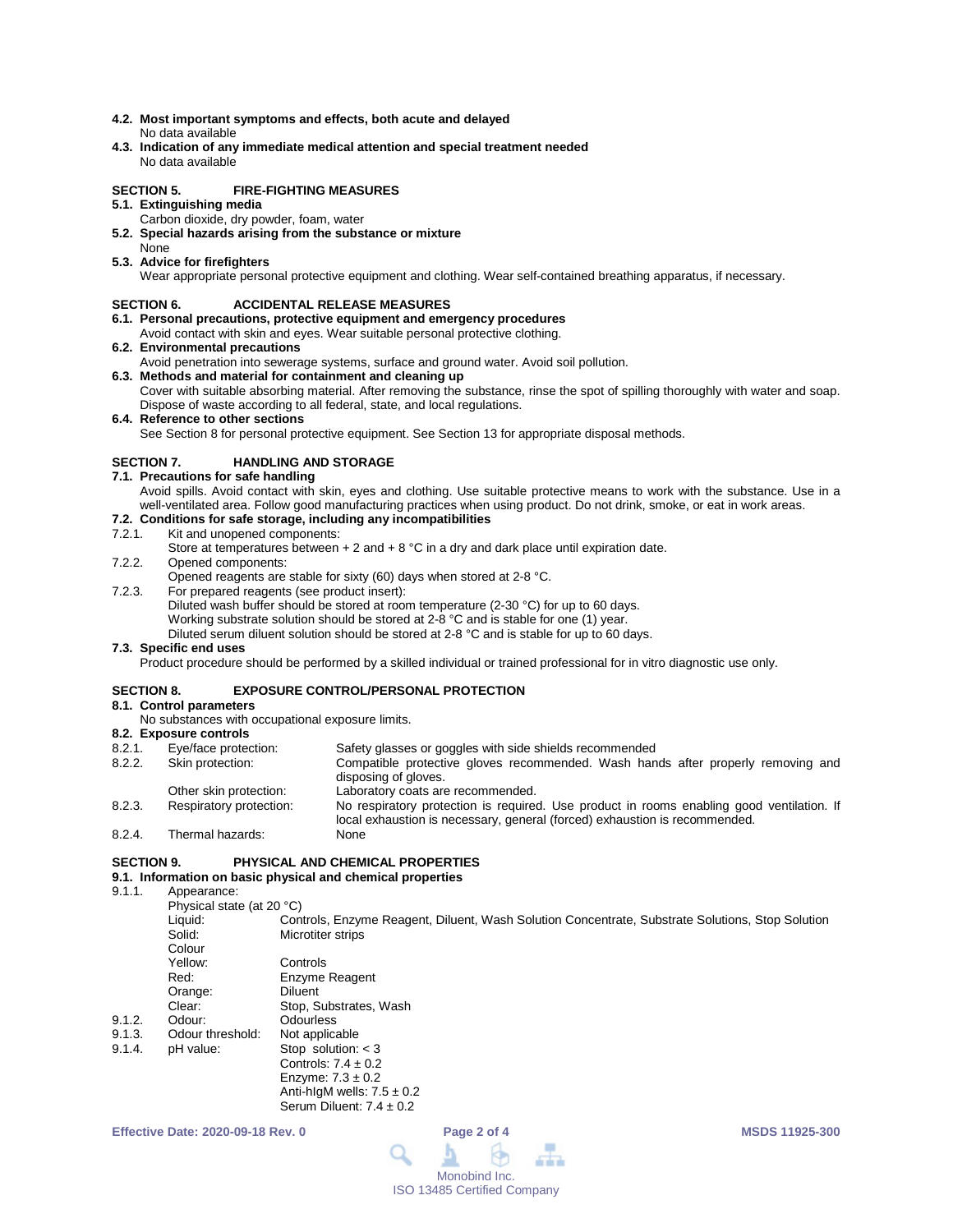- **4.2. Most important symptoms and effects, both acute and delayed** No data available
- **4.3. Indication of any immediate medical attention and special treatment needed** No data available

# **SECTION 5. FIRE-FIGHTING MEASURES**

- **5.1. Extinguishing media**
	- Carbon dioxide, dry powder, foam, water
- **5.2. Special hazards arising from the substance or mixture** None
- **5.3. Advice for firefighters**

Wear appropriate personal protective equipment and clothing. Wear self-contained breathing apparatus, if necessary.

### **SECTION 6. ACCIDENTAL RELEASE MEASURES**

- **6.1. Personal precautions, protective equipment and emergency procedures**
- Avoid contact with skin and eyes. Wear suitable personal protective clothing.
- **6.2. Environmental precautions**
- Avoid penetration into sewerage systems, surface and ground water. Avoid soil pollution.
- **6.3. Methods and material for containment and cleaning up** Cover with suitable absorbing material. After removing the substance, rinse the spot of spilling thoroughly with water and soap. Dispose of waste according to all federal, state, and local regulations.
- **6.4. Reference to other sections**

See Section 8 for personal protective equipment. See Section 13 for appropriate disposal methods.

# **SECTION 7. HANDLING AND STORAGE**

- **7.1. Precautions for safe handling**
	- Avoid spills. Avoid contact with skin, eyes and clothing. Use suitable protective means to work with the substance. Use in a well-ventilated area. Follow good manufacturing practices when using product. Do not drink, smoke, or eat in work areas.

# **7.2. Conditions for safe storage, including any incompatibilities**

#### Kit and unopened components:

- Store at temperatures between  $+ 2$  and  $+ 8$  °C in a dry and dark place until expiration date.
- 7.2.2. Opened components:
- Opened reagents are stable for sixty (60) days when stored at 2-8 °C.
- 7.2.3. For prepared reagents (see product insert):
	- Diluted wash buffer should be stored at room temperature (2-30 °C) for up to 60 days.
		- Working substrate solution should be stored at 2-8 °C and is stable for one (1) year.
		- Diluted serum diluent solution should be stored at 2-8 °C and is stable for up to 60 days.

# **7.3. Specific end uses**

Product procedure should be performed by a skilled individual or trained professional for in vitro diagnostic use only.

#### **SECTION 8. EXPOSURE CONTROL/PERSONAL PROTECTION**

- **8.1. Control parameters**
	- No substances with occupational exposure limits.

- **8.2. Exposure controls** Safety glasses or goggles with side shields recommended 8.2.2. Skin protection: Compatible protective gloves recommended. Wash hands after properly removing and disposing of gloves.
- Other skin protection: Laboratory coats are recommended.<br>
Respiratory protection: No respiratory protection is required

Anti-hIgM wells:  $7.5 \pm 0.2$ Serum Diluent:  $7.4 \pm 0.2$ 

- 8.2.3. Respiratory protection: No respiratory protection is required. Use product in rooms enabling good ventilation. If local exhaustion is necessary, general (forced) exhaustion is recommended. 8.2.4. Thermal hazards:
- 

# **SECTION 9. PHYSICAL AND CHEMICAL PROPERTIES**

# **9.1. Information on basic physical and chemical properties**

Appearance:

Physical state (at 20 °C)<br>Liquid: Con Liquid: Controls, Enzyme Reagent, Diluent, Wash Solution Concentrate, Substrate Solutions, Stop Solution<br>Solid: Microtiter strips **Microtiter strips** Colour<br>Yellow Controls Red: Enzyme Reagent Orange: Diluent Clear: Stop, Substrates, Wash<br>
Odour: Odourless 9.1.2. Odour: Odourless<br>9.1.3. Odour threshold: Not applicable 9.1.3. Odour threshold:<br>9.1.4. pH value: Stop solution:  $<$  3 Controls:  $7.4 \pm 0.2$ Enzyme:  $7.3 \pm 0.2$ 

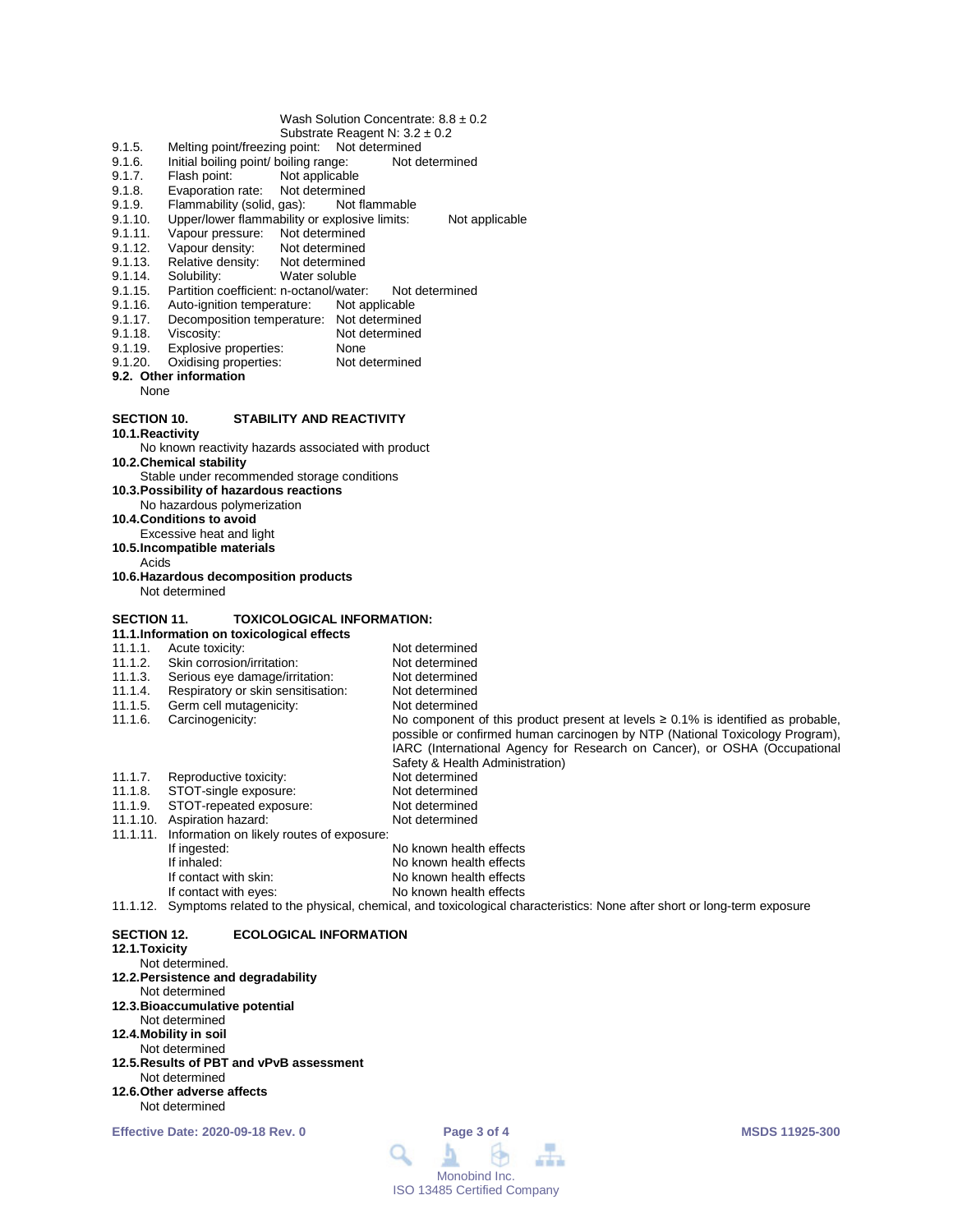#### Wash Solution Concentrate: 8.8 ± 0.2

- Substrate Reagent N: 3.2 ± 0.2
- 9.1.5. Melting point/freezing point: Not determined<br>9.1.6. Initial boiling point/ boiling range: Not de
- 9.1.6. Initial boiling point/ boiling range: Not determined<br>9.1.7. Flash point: Not applicable
- 9.1.7. Flash point: Not applicable<br>9.1.8. Evaporation rate: Not determined
- 9.1.8. Evaporation rate: Not determined<br>9.1.9. Flammability (solid, gas): Not flammable
- 9.1.9. Flammability (solid, gas):<br>9.1.10. Upper/lower flammability
- 9.1.10. Upper/lower flammability or explosive limits: Not applicable<br>9.1.11. Vapour pressure: Not determined
- 9.1.11. Vapour pressure: Not determined<br>9.1.12. Vapour density: Not determined
- 9.1.12. Vapour density:<br>9.1.13. Relative density:
- 9.1.13. Relative density: Not determined<br>9.1.14. Solubility: Water soluble
- Water soluble
- 9.1.15. Partition coefficient: n-octanol/water: Not determined<br>9.1.16. Auto-ignition temperature: Not applicable
- Auto-ignition temperature:
- 9.1.17. Decomposition temperature: Not determined<br>9.1.18. Viscosity: Not determined
- Not determined<br>None
- 9.1.19. Explosive properties: None<br>9.1.20. Oxidising properties: Not determined
- Oxidising properties:
- **9.2. Other information**

None

#### **SECTION 10. STABILITY AND REACTIVITY**

**10.1.Reactivity**

No known reactivity hazards associated with product

**10.2.Chemical stability**

- Stable under recommended storage conditions
- **10.3.Possibility of hazardous reactions**
- No hazardous polymerization **10.4.Conditions to avoid**
- Excessive heat and light
- **10.5.Incompatible materials**
- Acids
- **10.6.Hazardous decomposition products** Not determined

#### **SECTION 11. TOXICOLOGICAL INFORMATION:**

|          | 11.1. Information on toxicological effects |                                                                                                                                                                                                                                                                                        |  |  |
|----------|--------------------------------------------|----------------------------------------------------------------------------------------------------------------------------------------------------------------------------------------------------------------------------------------------------------------------------------------|--|--|
| 11.1.1.  | Acute toxicity:                            | Not determined                                                                                                                                                                                                                                                                         |  |  |
| 11.1.2.  | Skin corrosion/irritation:                 | Not determined                                                                                                                                                                                                                                                                         |  |  |
| 11.1.3.  | Serious eye damage/irritation:             | Not determined                                                                                                                                                                                                                                                                         |  |  |
| 11.1.4.  | Respiratory or skin sensitisation:         | Not determined                                                                                                                                                                                                                                                                         |  |  |
| 11.1.5.  | Germ cell mutagenicity:                    | Not determined                                                                                                                                                                                                                                                                         |  |  |
| 11.1.6.  | Carcinogenicity:                           | No component of this product present at levels $\geq 0.1\%$ is identified as probable,<br>possible or confirmed human carcinogen by NTP (National Toxicology Program),<br>IARC (International Agency for Research on Cancer), or OSHA (Occupational<br>Safety & Health Administration) |  |  |
| 11.1.7.  | Reproductive toxicity:                     | Not determined                                                                                                                                                                                                                                                                         |  |  |
| 11.1.8.  | STOT-single exposure:                      | Not determined                                                                                                                                                                                                                                                                         |  |  |
| 11.1.9.  | STOT-repeated exposure:                    | Not determined                                                                                                                                                                                                                                                                         |  |  |
| 11.1.10. | Aspiration hazard:                         | Not determined                                                                                                                                                                                                                                                                         |  |  |
| 11.1.11. | Information on likely routes of exposure:  |                                                                                                                                                                                                                                                                                        |  |  |
|          | If ingested:                               | No known health effects                                                                                                                                                                                                                                                                |  |  |
|          | If inhaled:                                | No known health effects                                                                                                                                                                                                                                                                |  |  |
|          | If contact with skin:                      | No known health effects                                                                                                                                                                                                                                                                |  |  |
|          | If contact with eyes:                      | No known health effects                                                                                                                                                                                                                                                                |  |  |
|          | .                                          |                                                                                                                                                                                                                                                                                        |  |  |

11.1.12. Symptoms related to the physical, chemical, and toxicological characteristics: None after short or long-term exposure

#### **SECTION 12. ECOLOGICAL INFORMATION**

# **12.1.Toxicity**

- Not determined.
- **12.2.Persistence and degradability**
- Not determined
- **12.3.Bioaccumulative potential**
- Not determined
- **12.4.Mobility in soil** Not determined
- **12.5.Results of PBT and vPvB assessment**
- Not determined
- **12.6.Other adverse affects** Not determined